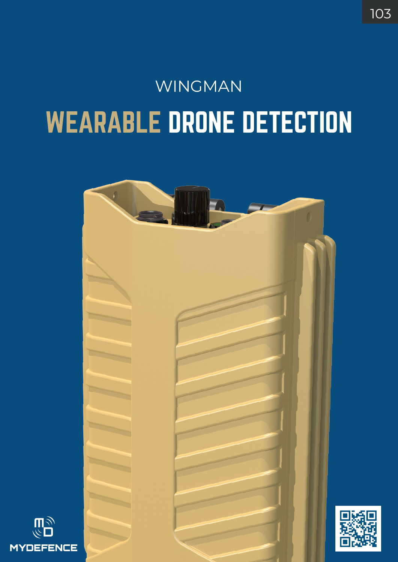## WEARABLE DRONE DETECTION WINGMAN